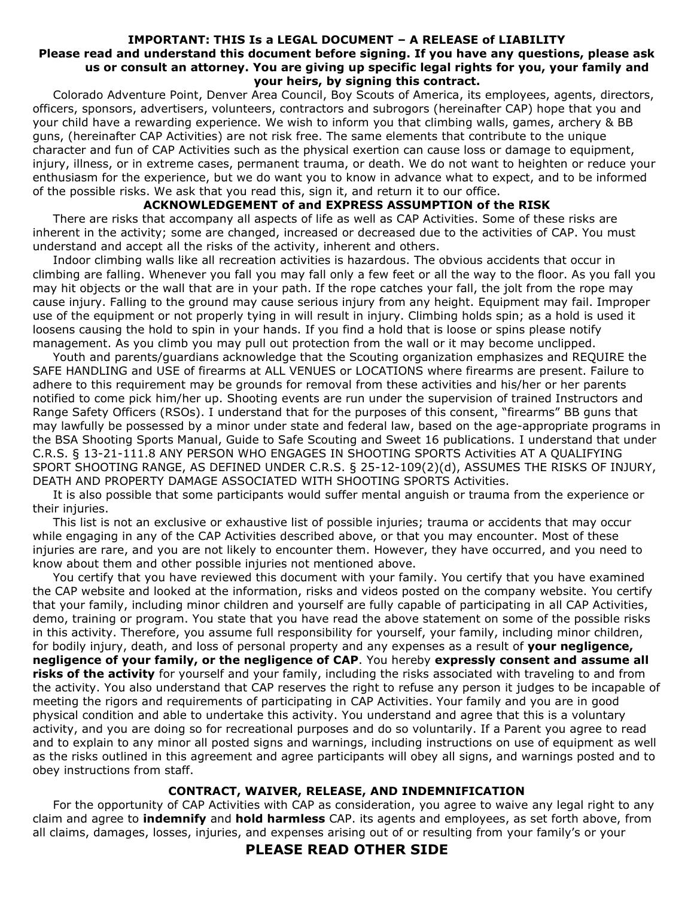### **IMPORTANT: THIS Is a LEGAL DOCUMENT – A RELEASE of LIABILITY Please read and understand this document before signing. If you have any questions, please ask us or consult an attorney. You are giving up specific legal rights for you, your family and your heirs, by signing this contract.**

Colorado Adventure Point, Denver Area Council, Boy Scouts of America, its employees, agents, directors, officers, sponsors, advertisers, volunteers, contractors and subrogors (hereinafter CAP) hope that you and your child have a rewarding experience. We wish to inform you that climbing walls, games, archery & BB guns, (hereinafter CAP Activities) are not risk free. The same elements that contribute to the unique character and fun of CAP Activities such as the physical exertion can cause loss or damage to equipment, injury, illness, or in extreme cases, permanent trauma, or death. We do not want to heighten or reduce your enthusiasm for the experience, but we do want you to know in advance what to expect, and to be informed of the possible risks. We ask that you read this, sign it, and return it to our office.

## **ACKNOWLEDGEMENT of and EXPRESS ASSUMPTION of the RISK**

There are risks that accompany all aspects of life as well as CAP Activities. Some of these risks are inherent in the activity; some are changed, increased or decreased due to the activities of CAP. You must understand and accept all the risks of the activity, inherent and others.

Indoor climbing walls like all recreation activities is hazardous. The obvious accidents that occur in climbing are falling. Whenever you fall you may fall only a few feet or all the way to the floor. As you fall you may hit objects or the wall that are in your path. If the rope catches your fall, the jolt from the rope may cause injury. Falling to the ground may cause serious injury from any height. Equipment may fail. Improper use of the equipment or not properly tying in will result in injury. Climbing holds spin; as a hold is used it loosens causing the hold to spin in your hands. If you find a hold that is loose or spins please notify management. As you climb you may pull out protection from the wall or it may become unclipped.

Youth and parents/guardians acknowledge that the Scouting organization emphasizes and REQUIRE the SAFE HANDLING and USE of firearms at ALL VENUES or LOCATIONS where firearms are present. Failure to adhere to this requirement may be grounds for removal from these activities and his/her or her parents notified to come pick him/her up. Shooting events are run under the supervision of trained Instructors and Range Safety Officers (RSOs). I understand that for the purposes of this consent, "firearms" BB guns that may lawfully be possessed by a minor under state and federal law, based on the age-appropriate programs in the BSA Shooting Sports Manual, Guide to Safe Scouting and Sweet 16 publications. I understand that under C.R.S. § 13-21-111.8 ANY PERSON WHO ENGAGES IN SHOOTING SPORTS Activities AT A QUALIFYING SPORT SHOOTING RANGE, AS DEFINED UNDER C.R.S. § 25-12-109(2)(d), ASSUMES THE RISKS OF INJURY, DEATH AND PROPERTY DAMAGE ASSOCIATED WITH SHOOTING SPORTS Activities.

It is also possible that some participants would suffer mental anguish or trauma from the experience or their injuries.

This list is not an exclusive or exhaustive list of possible injuries; trauma or accidents that may occur while engaging in any of the CAP Activities described above, or that you may encounter. Most of these injuries are rare, and you are not likely to encounter them. However, they have occurred, and you need to know about them and other possible injuries not mentioned above.

You certify that you have reviewed this document with your family. You certify that you have examined the CAP website and looked at the information, risks and videos posted on the company website. You certify that your family, including minor children and yourself are fully capable of participating in all CAP Activities, demo, training or program. You state that you have read the above statement on some of the possible risks in this activity. Therefore, you assume full responsibility for yourself, your family, including minor children, for bodily injury, death, and loss of personal property and any expenses as a result of **your negligence, negligence of your family, or the negligence of CAP**. You hereby **expressly consent and assume all risks of the activity** for yourself and your family, including the risks associated with traveling to and from the activity. You also understand that CAP reserves the right to refuse any person it judges to be incapable of meeting the rigors and requirements of participating in CAP Activities. Your family and you are in good physical condition and able to undertake this activity. You understand and agree that this is a voluntary activity, and you are doing so for recreational purposes and do so voluntarily. If a Parent you agree to read and to explain to any minor all posted signs and warnings, including instructions on use of equipment as well as the risks outlined in this agreement and agree participants will obey all signs, and warnings posted and to obey instructions from staff.

## **CONTRACT, WAIVER, RELEASE, AND INDEMNIFICATION**

For the opportunity of CAP Activities with CAP as consideration, you agree to waive any legal right to any claim and agree to **indemnify** and **hold harmless** CAP. its agents and employees, as set forth above, from all claims, damages, losses, injuries, and expenses arising out of or resulting from your family's or your

# **PLEASE READ OTHER SIDE**